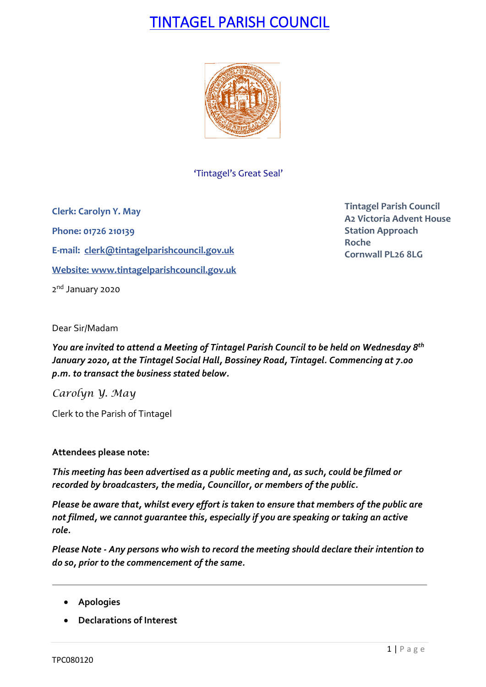# TINTAGEL PARISH COUNCIL



'Tintagel's Great Seal'

**Clerk: Carolyn Y. May Phone: 01726 210139 E-mail: [clerk@tintagelparishcouncil.gov.uk](mailto:clerk@tintagelparishcouncil.gov.uk) Website: [www.tintagelparishcouncil.gov.uk](http://www.tintagelparishcouncil.gov.uk/)** 2<sup>nd</sup> January 2020

**Tintagel Parish Council A2 Victoria Advent House Station Approach Roche Cornwall PL26 8LG**

Dear Sir/Madam

*You are invited to attend a Meeting of Tintagel Parish Council to be held on Wednesday 8 th January 2020, at the Tintagel Social Hall, Bossiney Road, Tintagel. Commencing at 7.00 p.m. to transact the business stated below.*

*Carolyn Y. May*

Clerk to the Parish of Tintagel

### **Attendees please note:**

*This meeting has been advertised as a public meeting and, as such, could be filmed or recorded by broadcasters, the media, Councillor, or members of the public.*

*Please be aware that, whilst every effort is taken to ensure that members of the public are not filmed, we cannot guarantee this, especially if you are speaking or taking an active role.*

*Please Note - Any persons who wish to record the meeting should declare their intention to do so, prior to the commencement of the same.*

- **Apologies**
- **Declarations of Interest**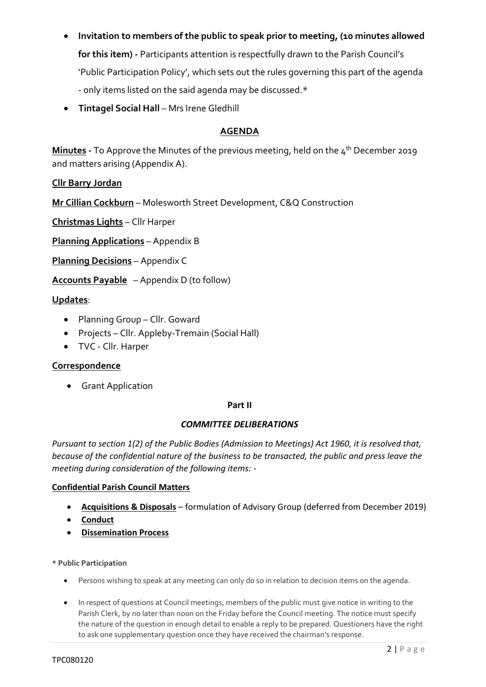- **Invitation to members of the public to speak prior to meeting, (10 minutes allowed for this item) -** Participants attention is respectfully drawn to the Parish Council's 'Public Participation Policy', which sets out the rules governing this part of the agenda - only items listed on the said agenda may be discussed.\*
- **Tintagel Social Hall** Mrs Irene Gledhill

### **AGENDA**

**Minutes -** To Approve the Minutes of the previous meeting, held on the 4 th December 2019 and matters arising (Appendix A).

**Cllr Barry Jordan**

**Mr Cillian Cockburn** – Molesworth Street Development, C&Q Construction

**Christmas Lights** – Cllr Harper

**Planning Applications** – Appendix B

**Planning Decisions** – Appendix C

**Accounts Payable** – Appendix D (to follow)

#### **Updates**:

- Planning Group Cllr. Goward
- Projects Cllr. Appleby-Tremain (Social Hall)
- TVC Cllr. Harper

#### **Correspondence**

• Grant Application

#### **Part II**

#### *COMMITTEE DELIBERATIONS*

*Pursuant to section 1(2) of the Public Bodies (Admission to Meetings) Act 1960, it is resolved that, because of the confidential nature of the business to be transacted, the public and press leave the meeting during consideration of the following items: -*

#### **Confidential Parish Council Matters**

- **Acquisitions & Disposals** formulation of Advisory Group (deferred from December 2019)
- **Conduct**
- **Dissemination Process**
- **\* Public Participation**
	- Persons wishing to speak at any meeting can only do so in relation to decision items on the agenda.
	- In respect of questions at Council meetings, members of the public must give notice in writing to the Parish Clerk, by no later than noon on the Friday before the Council meeting. The notice must specify the nature of the question in enough detail to enable a reply to be prepared. Questioners have the right to ask one supplementary question once they have received the chairman's response.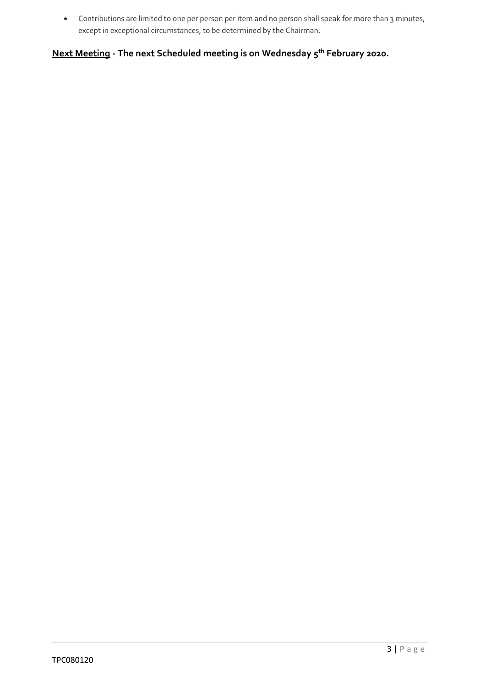• Contributions are limited to one per person per item and no person shall speak for more than 3 minutes, except in exceptional circumstances, to be determined by the Chairman.

**Next Meeting - The next Scheduled meeting is on Wednesday 5 th February 2020.**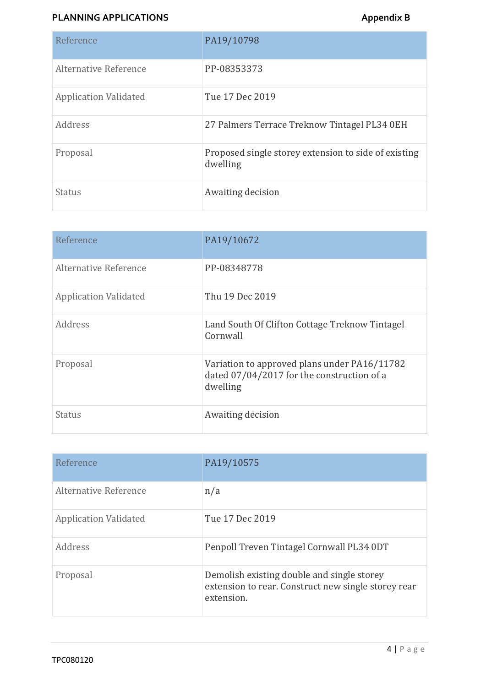# **PLANNING APPLICATIONS Appendix B**

| Reference                    | PA19/10798                                                       |
|------------------------------|------------------------------------------------------------------|
| Alternative Reference        | PP-08353373                                                      |
| <b>Application Validated</b> | Tue 17 Dec 2019                                                  |
| Address                      | 27 Palmers Terrace Treknow Tintagel PL34 0EH                     |
| Proposal                     | Proposed single storey extension to side of existing<br>dwelling |
| <b>Status</b>                | Awaiting decision                                                |

| Reference                    | PA19/10672                                                                                             |
|------------------------------|--------------------------------------------------------------------------------------------------------|
| Alternative Reference        | PP-08348778                                                                                            |
| <b>Application Validated</b> | Thu 19 Dec 2019                                                                                        |
| Address                      | Land South Of Clifton Cottage Treknow Tintagel<br>Cornwall                                             |
| Proposal                     | Variation to approved plans under PA16/11782<br>dated 07/04/2017 for the construction of a<br>dwelling |
| Status                       | Awaiting decision                                                                                      |

| Reference                    | PA19/10575                                                                                                      |
|------------------------------|-----------------------------------------------------------------------------------------------------------------|
| Alternative Reference        | n/a                                                                                                             |
| <b>Application Validated</b> | Tue 17 Dec 2019                                                                                                 |
| Address                      | Penpoll Treven Tintagel Cornwall PL34 0DT                                                                       |
| Proposal                     | Demolish existing double and single storey<br>extension to rear. Construct new single storey rear<br>extension. |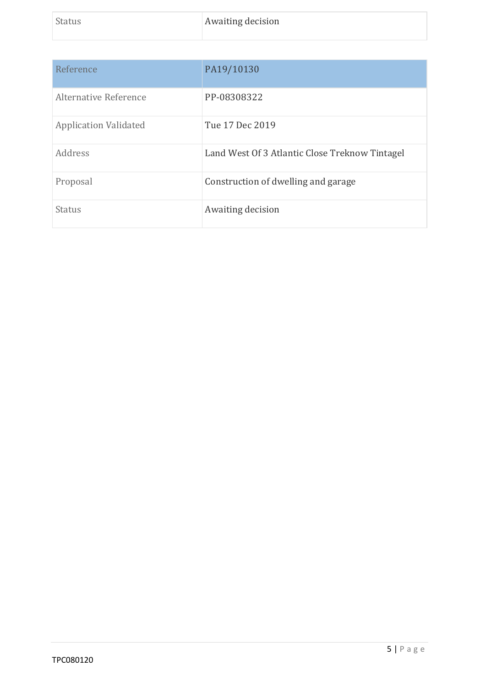| Reference                    | PA19/10130                                     |
|------------------------------|------------------------------------------------|
| Alternative Reference        | PP-08308322                                    |
| <b>Application Validated</b> | Tue 17 Dec 2019                                |
| Address                      | Land West Of 3 Atlantic Close Treknow Tintagel |
| Proposal                     | Construction of dwelling and garage            |
| <b>Status</b>                | Awaiting decision                              |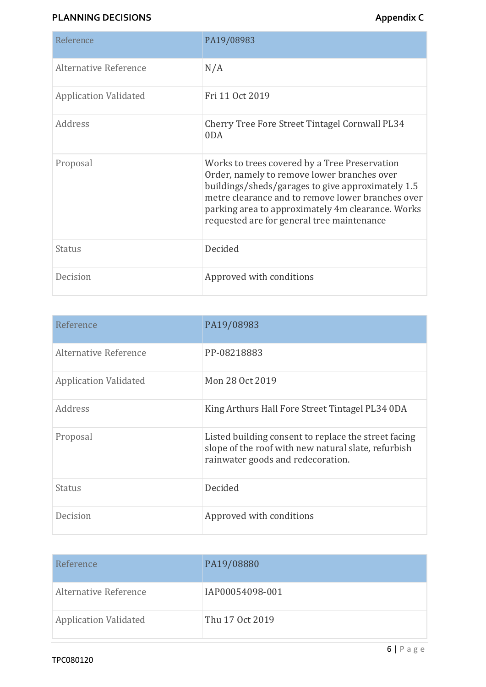# **PLANNING DECISIONS Appendix C**

| Reference                    | PA19/08983                                                                                                                                                                                                                                                                                                |
|------------------------------|-----------------------------------------------------------------------------------------------------------------------------------------------------------------------------------------------------------------------------------------------------------------------------------------------------------|
| Alternative Reference        | N/A                                                                                                                                                                                                                                                                                                       |
| <b>Application Validated</b> | Fri 11 Oct 2019                                                                                                                                                                                                                                                                                           |
| Address                      | Cherry Tree Fore Street Tintagel Cornwall PL34<br>0DA                                                                                                                                                                                                                                                     |
| Proposal                     | Works to trees covered by a Tree Preservation<br>Order, namely to remove lower branches over<br>buildings/sheds/garages to give approximately 1.5<br>metre clearance and to remove lower branches over<br>parking area to approximately 4m clearance. Works<br>requested are for general tree maintenance |
| Status                       | Decided                                                                                                                                                                                                                                                                                                   |
| Decision                     | Approved with conditions                                                                                                                                                                                                                                                                                  |

| Reference                    | PA19/08983                                                                                                                                       |
|------------------------------|--------------------------------------------------------------------------------------------------------------------------------------------------|
| Alternative Reference        | PP-08218883                                                                                                                                      |
| <b>Application Validated</b> | Mon 28 Oct 2019                                                                                                                                  |
| Address                      | King Arthurs Hall Fore Street Tintagel PL34 0DA                                                                                                  |
| Proposal                     | Listed building consent to replace the street facing<br>slope of the roof with new natural slate, refurbish<br>rainwater goods and redecoration. |
| <b>Status</b>                | Decided                                                                                                                                          |
| Decision                     | Approved with conditions                                                                                                                         |

| Reference                    | PA19/08880      |
|------------------------------|-----------------|
| Alternative Reference        | IAP00054098-001 |
| <b>Application Validated</b> | Thu 17 Oct 2019 |